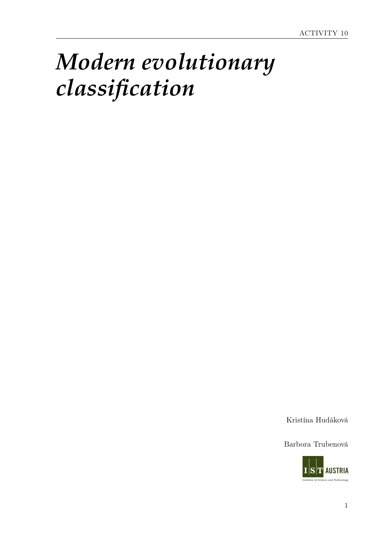# *Modern evolutionary classification*

Kristína Hudáková

Barbora Trubenová

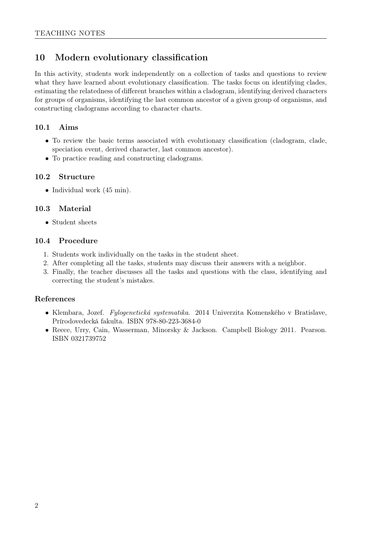## 10 Modern evolutionary classification

In this activity, students work independently on a collection of tasks and questions to review what they have learned about evolutionary classification. The tasks focus on identifying clades, estimating the relatedness of different branches within a cladogram, identifying derived characters for groups of organisms, identifying the last common ancestor of a given group of organisms, and constructing cladograms according to character charts.

#### 10.1 Aims

- To review the basic terms associated with evolutionary classification (cladogram, clade, speciation event, derived character, last common ancestor).
- To practice reading and constructing cladograms.

#### 10.2 Structure

• Individual work (45 min).

#### 10.3 Material

• Student sheets

#### 10.4 Procedure

- 1. Students work individually on the tasks in the student sheet.
- 2. After completing all the tasks, students may discuss their answers with a neighbor.
- 3. Finally, the teacher discusses all the tasks and questions with the class, identifying and correcting the student's mistakes.

#### References

- Klembara, Jozef. Fylogenetická systematika. 2014 Univerzita Komenského v Bratislave, Prírodovedecká fakulta. ISBN 978-80-223-3684-0
- Reece, Urry, Cain, Wasserman, Minorsky & Jackson. Campbell Biology 2011. Pearson. ISBN 0321739752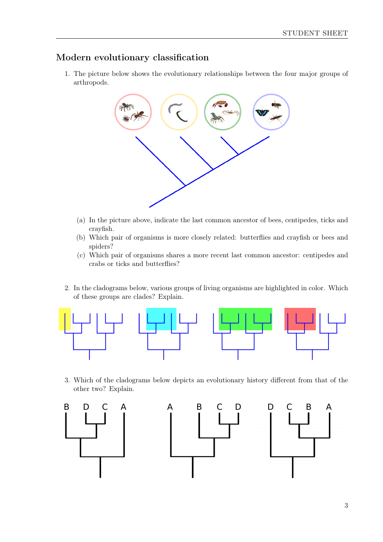### Modern evolutionary classification

1. The picture below shows the evolutionary relationships between the four major groups of arthropods.



- (a) In the picture above, indicate the last common ancestor of bees, centipedes, ticks and crayfish.
- (b) Which pair of organisms is more closely related: butterflies and crayfish or bees and spiders?
- (c) Which pair of organisms shares a more recent last common ancestor: centipedes and crabs or ticks and butterflies?
- 2. In the cladograms below, various groups of living organisms are highlighted in color. Which of these groups are clades? Explain.



3. Which of the cladograms below depicts an evolutionary history different from that of the other two? Explain.

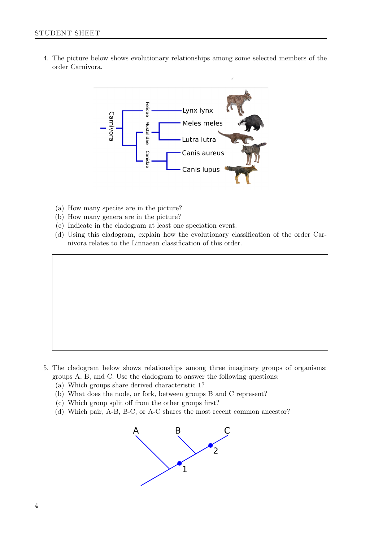4. The picture below shows evolutionary relationships among some selected members of the order Carnivora.



- (a) How many species are in the picture?
- (b) How many genera are in the picture?
- (c) Indicate in the cladogram at least one speciation event.
- (d) Using this cladogram, explain how the evolutionary classification of the order Carnivora relates to the Linnaean classification of this order.

- 5. The cladogram below shows relationships among three imaginary groups of organisms: groups A, B, and C. Use the cladogram to answer the following questions:
	- (a) Which groups share derived characteristic 1?
	- (b) What does the node, or fork, between groups B and C represent?
	- (c) Which group split off from the other groups first?
	- (d) Which pair, A-B, B-C, or A-C shares the most recent common ancestor?